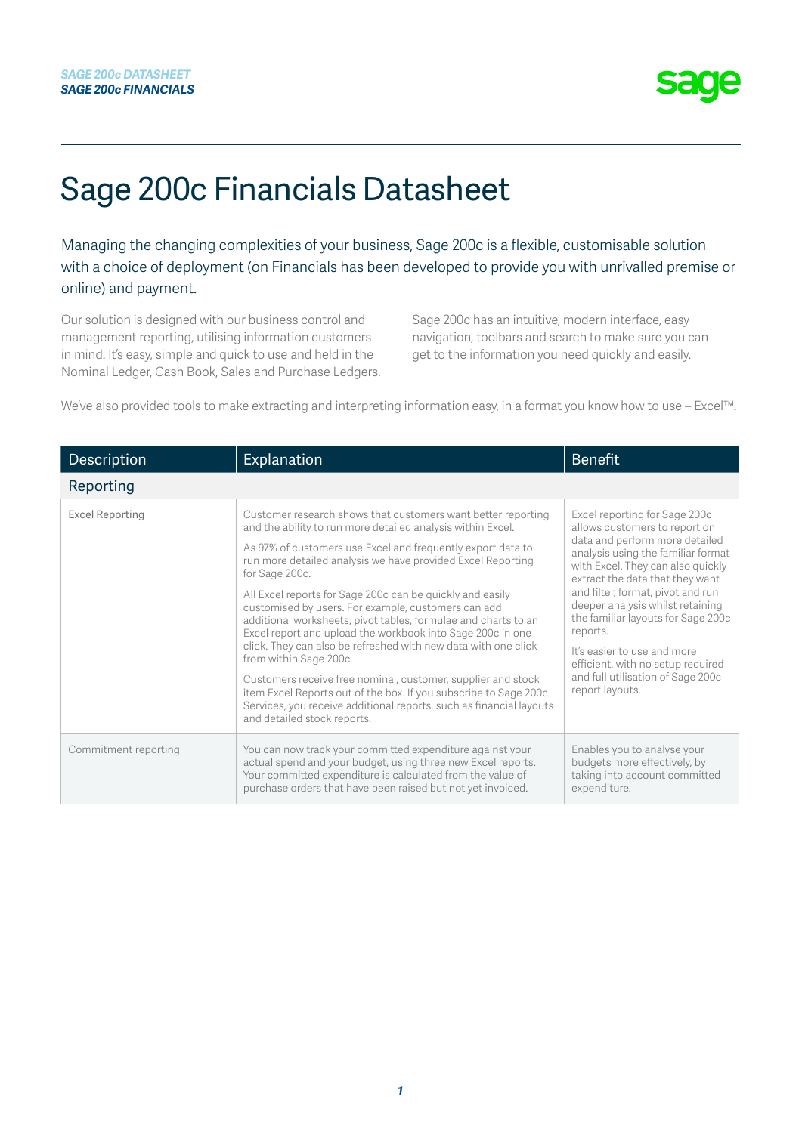# Sage 200c Financials Datasheet

Managing the changing complexities of your business, Sage 200c is a flexible, customisable solution with a choice of deployment (on Financials has been developed to provide you with unrivalled premise or online) and payment.

Our solution is designed with our business control and management reporting, utilising information customers in mind. It's easy, simple and quick to use and held in the Nominal Ledger, Cash Book, Sales and Purchase Ledgers. Sage 200c has an intuitive, modern interface, easy navigation, toolbars and search to make sure you can get to the information you need quickly and easily.

We've also provided tools to make extracting and interpreting information easy, in a format you know how to use – Excel™.

| <b>Description</b>     | Explanation                                                                                                                                                                                                                                                                                                                                                                                                                                                                                                                                                                                                                                                                                                                                                                                                                                                           | <b>Benefit</b>                                                                                                                                                                                                                                                                                                                                                                                                                                                        |
|------------------------|-----------------------------------------------------------------------------------------------------------------------------------------------------------------------------------------------------------------------------------------------------------------------------------------------------------------------------------------------------------------------------------------------------------------------------------------------------------------------------------------------------------------------------------------------------------------------------------------------------------------------------------------------------------------------------------------------------------------------------------------------------------------------------------------------------------------------------------------------------------------------|-----------------------------------------------------------------------------------------------------------------------------------------------------------------------------------------------------------------------------------------------------------------------------------------------------------------------------------------------------------------------------------------------------------------------------------------------------------------------|
| Reporting              |                                                                                                                                                                                                                                                                                                                                                                                                                                                                                                                                                                                                                                                                                                                                                                                                                                                                       |                                                                                                                                                                                                                                                                                                                                                                                                                                                                       |
| <b>Excel Reporting</b> | Customer research shows that customers want better reporting<br>and the ability to run more detailed analysis within Excel.<br>As 97% of customers use Excel and frequently export data to<br>run more detailed analysis we have provided Excel Reporting<br>for Sage 200c.<br>All Excel reports for Sage 200c can be quickly and easily<br>customised by users. For example, customers can add<br>additional worksheets, pivot tables, formulae and charts to an<br>Excel report and upload the workbook into Sage 200c in one<br>click. They can also be refreshed with new data with one click<br>from within Sage 200c.<br>Customers receive free nominal, customer, supplier and stock<br>item Excel Reports out of the box. If you subscribe to Sage 200c<br>Services, you receive additional reports, such as financial layouts<br>and detailed stock reports. | Excel reporting for Sage 200c<br>allows customers to report on<br>data and perform more detailed<br>analysis using the familiar format<br>with Excel. They can also quickly<br>extract the data that they want<br>and filter, format, pivot and run<br>deeper analysis whilst retaining<br>the familiar layouts for Sage 200c<br>reports.<br>It's easier to use and more<br>efficient, with no setup required<br>and full utilisation of Sage 200c<br>report layouts. |
| Commitment reporting   | You can now track your committed expenditure against your<br>actual spend and your budget, using three new Excel reports.<br>Your committed expenditure is calculated from the value of<br>purchase orders that have been raised but not yet invoiced.                                                                                                                                                                                                                                                                                                                                                                                                                                                                                                                                                                                                                | Enables you to analyse your<br>budgets more effectively, by<br>taking into account committed<br>expenditure.                                                                                                                                                                                                                                                                                                                                                          |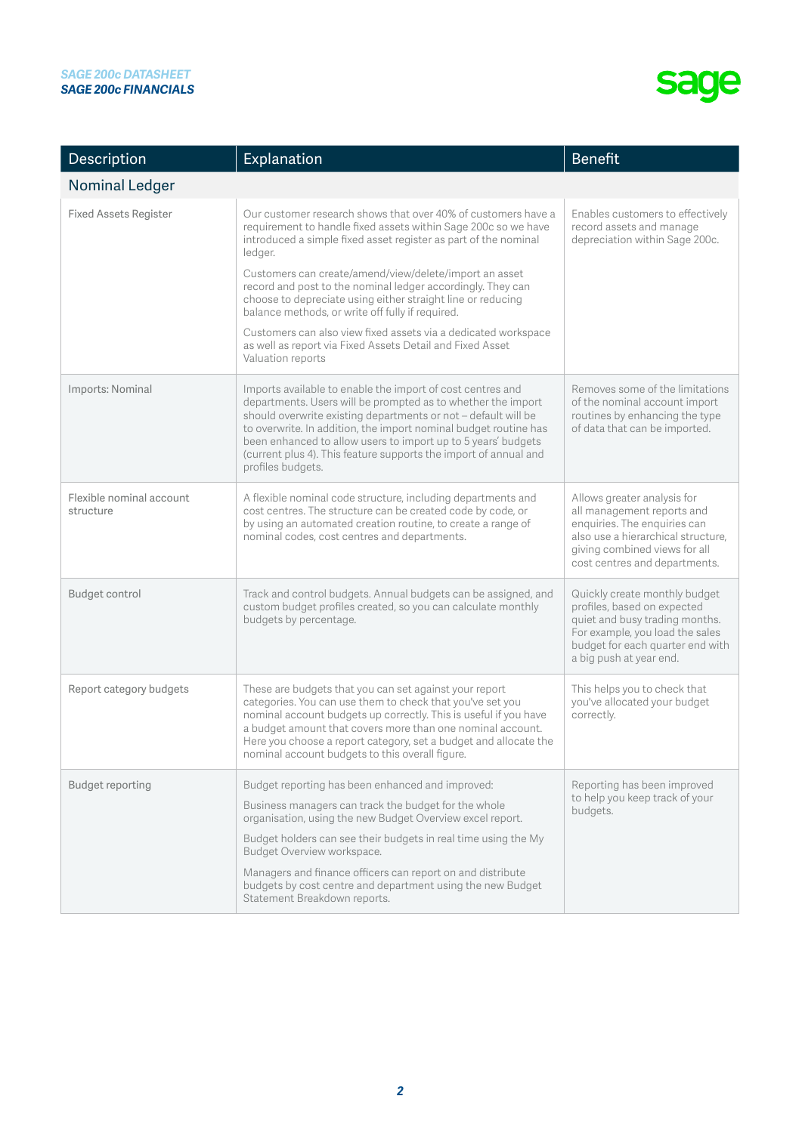| Description                           | Explanation                                                                                                                                                                                                                                                                                                                                                                                                                                                                                                                                                                                                   | Benefit                                                                                                                                                                                           |
|---------------------------------------|---------------------------------------------------------------------------------------------------------------------------------------------------------------------------------------------------------------------------------------------------------------------------------------------------------------------------------------------------------------------------------------------------------------------------------------------------------------------------------------------------------------------------------------------------------------------------------------------------------------|---------------------------------------------------------------------------------------------------------------------------------------------------------------------------------------------------|
| <b>Nominal Ledger</b>                 |                                                                                                                                                                                                                                                                                                                                                                                                                                                                                                                                                                                                               |                                                                                                                                                                                                   |
| Fixed Assets Register                 | Our customer research shows that over 40% of customers have a<br>requirement to handle fixed assets within Sage 200c so we have<br>introduced a simple fixed asset register as part of the nominal<br>ledger.<br>Customers can create/amend/view/delete/import an asset<br>record and post to the nominal ledger accordingly. They can<br>choose to depreciate using either straight line or reducing<br>balance methods, or write off fully if required.<br>Customers can also view fixed assets via a dedicated workspace<br>as well as report via Fixed Assets Detail and Fixed Asset<br>Valuation reports | Enables customers to effectively<br>record assets and manage<br>depreciation within Sage 200c.                                                                                                    |
| Imports: Nominal                      | Imports available to enable the import of cost centres and<br>departments. Users will be prompted as to whether the import<br>should overwrite existing departments or not - default will be<br>to overwrite. In addition, the import nominal budget routine has<br>been enhanced to allow users to import up to 5 years' budgets<br>(current plus 4). This feature supports the import of annual and<br>profiles budgets.                                                                                                                                                                                    | Removes some of the limitations<br>of the nominal account import<br>routines by enhancing the type<br>of data that can be imported.                                                               |
| Flexible nominal account<br>structure | A flexible nominal code structure, including departments and<br>cost centres. The structure can be created code by code, or<br>by using an automated creation routine, to create a range of<br>nominal codes, cost centres and departments.                                                                                                                                                                                                                                                                                                                                                                   | Allows greater analysis for<br>all management reports and<br>enquiries. The enquiries can<br>also use a hierarchical structure,<br>giving combined views for all<br>cost centres and departments. |
| Budget control                        | Track and control budgets. Annual budgets can be assigned, and<br>custom budget profiles created, so you can calculate monthly<br>budgets by percentage.                                                                                                                                                                                                                                                                                                                                                                                                                                                      | Quickly create monthly budget<br>profiles, based on expected<br>quiet and busy trading months.<br>For example, you load the sales<br>budget for each quarter end with<br>a big push at year end.  |
| Report category budgets               | These are budgets that you can set against your report<br>categories. You can use them to check that you've set you<br>nominal account budgets up correctly. This is useful if you have<br>a budget amount that covers more than one nominal account.<br>Here you choose a report category, set a budget and allocate the<br>nominal account budgets to this overall figure.                                                                                                                                                                                                                                  | This helps you to check that<br>you've allocated your budget<br>correctly.                                                                                                                        |
| Budget reporting                      | Budget reporting has been enhanced and improved:<br>Business managers can track the budget for the whole<br>organisation, using the new Budget Overview excel report.<br>Budget holders can see their budgets in real time using the My<br>Budget Overview workspace.<br>Managers and finance officers can report on and distribute<br>budgets by cost centre and department using the new Budget<br>Statement Breakdown reports.                                                                                                                                                                             | Reporting has been improved<br>to help you keep track of your<br>budgets.                                                                                                                         |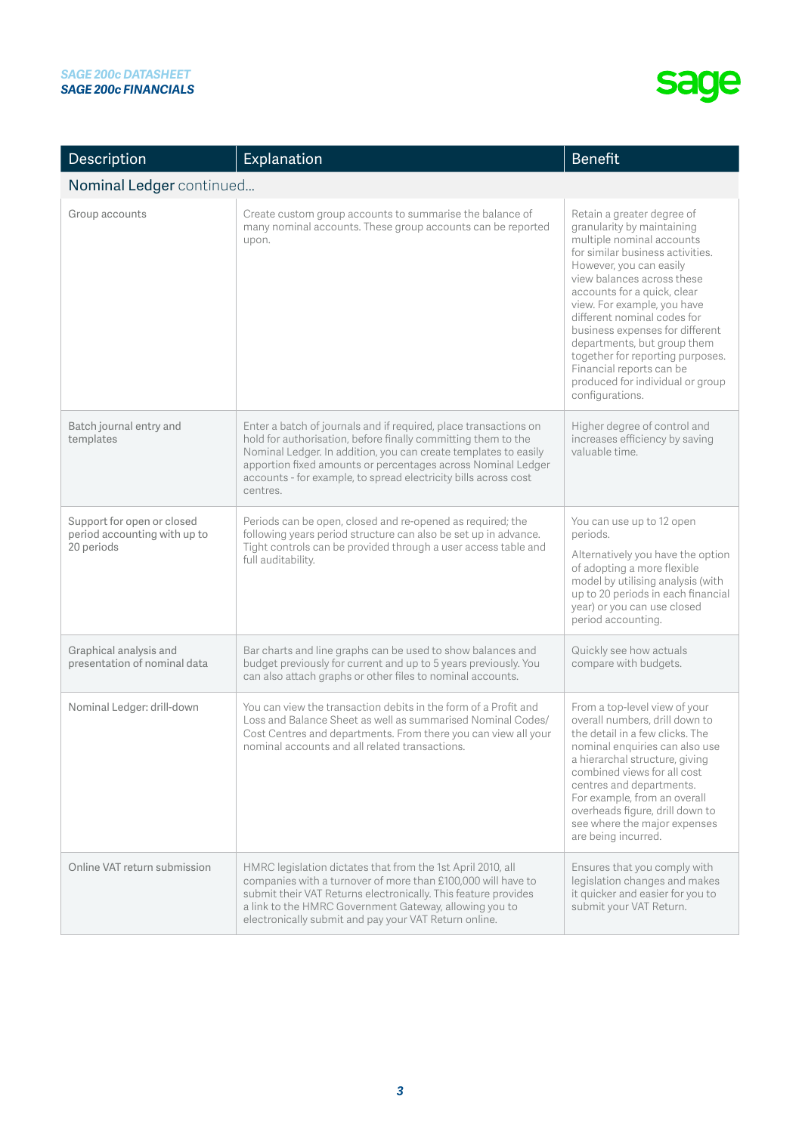| Description                                                              | Explanation                                                                                                                                                                                                                                                                                                                                         | <b>Benefit</b>                                                                                                                                                                                                                                                                                                                                                                                                                                                           |
|--------------------------------------------------------------------------|-----------------------------------------------------------------------------------------------------------------------------------------------------------------------------------------------------------------------------------------------------------------------------------------------------------------------------------------------------|--------------------------------------------------------------------------------------------------------------------------------------------------------------------------------------------------------------------------------------------------------------------------------------------------------------------------------------------------------------------------------------------------------------------------------------------------------------------------|
| Nominal Ledger continued                                                 |                                                                                                                                                                                                                                                                                                                                                     |                                                                                                                                                                                                                                                                                                                                                                                                                                                                          |
| Group accounts                                                           | Create custom group accounts to summarise the balance of<br>many nominal accounts. These group accounts can be reported<br>upon.                                                                                                                                                                                                                    | Retain a greater degree of<br>granularity by maintaining<br>multiple nominal accounts<br>for similar business activities.<br>However, you can easily<br>view balances across these<br>accounts for a quick, clear<br>view. For example, you have<br>different nominal codes for<br>business expenses for different<br>departments, but group them<br>together for reporting purposes.<br>Financial reports can be<br>produced for individual or group<br>configurations. |
| Batch journal entry and<br>templates                                     | Enter a batch of journals and if required, place transactions on<br>hold for authorisation, before finally committing them to the<br>Nominal Ledger. In addition, you can create templates to easily<br>apportion fixed amounts or percentages across Nominal Ledger<br>accounts - for example, to spread electricity bills across cost<br>centres. | Higher degree of control and<br>increases efficiency by saving<br>valuable time.                                                                                                                                                                                                                                                                                                                                                                                         |
| Support for open or closed<br>period accounting with up to<br>20 periods | Periods can be open, closed and re-opened as required; the<br>following years period structure can also be set up in advance.<br>Tight controls can be provided through a user access table and<br>full auditability.                                                                                                                               | You can use up to 12 open<br>periods.<br>Alternatively you have the option<br>of adopting a more flexible<br>model by utilising analysis (with<br>up to 20 periods in each financial<br>year) or you can use closed<br>period accounting.                                                                                                                                                                                                                                |
| Graphical analysis and<br>presentation of nominal data                   | Bar charts and line graphs can be used to show balances and<br>budget previously for current and up to 5 years previously. You<br>can also attach graphs or other files to nominal accounts.                                                                                                                                                        | Quickly see how actuals<br>compare with budgets.                                                                                                                                                                                                                                                                                                                                                                                                                         |
| Nominal Ledger: drill-down                                               | You can view the transaction debits in the form of a Profit and<br>Loss and Balance Sheet as well as summarised Nominal Codes/<br>Cost Centres and departments. From there you can view all your<br>nominal accounts and all related transactions.                                                                                                  | From a top-level view of your<br>overall numbers, drill down to<br>the detail in a few clicks. The<br>nominal enquiries can also use<br>a hierarchal structure, giving<br>combined views for all cost<br>centres and departments.<br>For example, from an overall<br>overheads figure, drill down to<br>see where the major expenses<br>are being incurred.                                                                                                              |
| Online VAT return submission                                             | HMRC legislation dictates that from the 1st April 2010, all<br>companies with a turnover of more than £100,000 will have to<br>submit their VAT Returns electronically. This feature provides<br>a link to the HMRC Government Gateway, allowing you to<br>electronically submit and pay your VAT Return online.                                    | Ensures that you comply with<br>legislation changes and makes<br>it quicker and easier for you to<br>submit your VAT Return.                                                                                                                                                                                                                                                                                                                                             |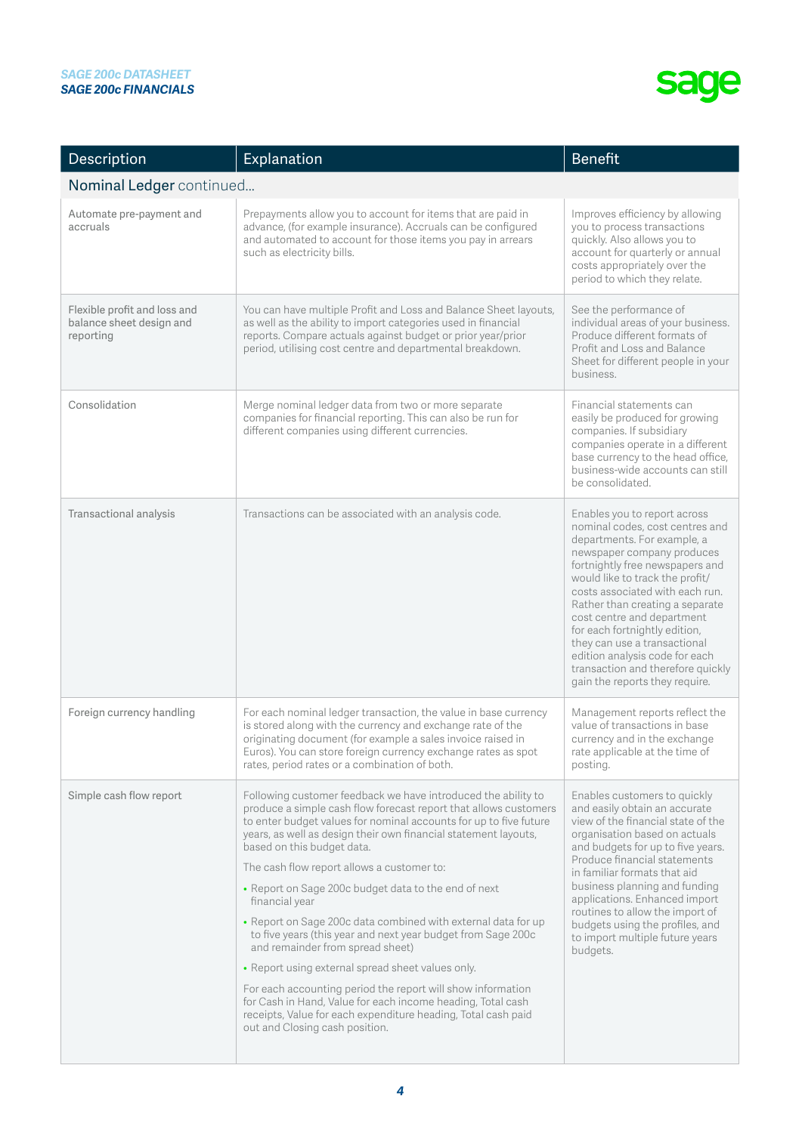| Description                                                           | Explanation                                                                                                                                                                                                                                                                                                                                                                                                                                                                                                                                                                                                                                                                                                                                                                                                                                                                                | <b>Benefit</b>                                                                                                                                                                                                                                                                                                                                                                                                                                                                   |
|-----------------------------------------------------------------------|--------------------------------------------------------------------------------------------------------------------------------------------------------------------------------------------------------------------------------------------------------------------------------------------------------------------------------------------------------------------------------------------------------------------------------------------------------------------------------------------------------------------------------------------------------------------------------------------------------------------------------------------------------------------------------------------------------------------------------------------------------------------------------------------------------------------------------------------------------------------------------------------|----------------------------------------------------------------------------------------------------------------------------------------------------------------------------------------------------------------------------------------------------------------------------------------------------------------------------------------------------------------------------------------------------------------------------------------------------------------------------------|
| Nominal Ledger continued                                              |                                                                                                                                                                                                                                                                                                                                                                                                                                                                                                                                                                                                                                                                                                                                                                                                                                                                                            |                                                                                                                                                                                                                                                                                                                                                                                                                                                                                  |
| Automate pre-payment and<br>accruals                                  | Prepayments allow you to account for items that are paid in<br>advance, (for example insurance). Accruals can be configured<br>and automated to account for those items you pay in arrears<br>such as electricity bills.                                                                                                                                                                                                                                                                                                                                                                                                                                                                                                                                                                                                                                                                   | Improves efficiency by allowing<br>you to process transactions<br>quickly. Also allows you to<br>account for quarterly or annual<br>costs appropriately over the<br>period to which they relate.                                                                                                                                                                                                                                                                                 |
| Flexible profit and loss and<br>balance sheet design and<br>reporting | You can have multiple Profit and Loss and Balance Sheet layouts,<br>as well as the ability to import categories used in financial<br>reports. Compare actuals against budget or prior year/prior<br>period, utilising cost centre and departmental breakdown.                                                                                                                                                                                                                                                                                                                                                                                                                                                                                                                                                                                                                              | See the performance of<br>individual areas of your business.<br>Produce different formats of<br>Profit and Loss and Balance<br>Sheet for different people in your<br>business.                                                                                                                                                                                                                                                                                                   |
| Consolidation                                                         | Merge nominal ledger data from two or more separate<br>companies for financial reporting. This can also be run for<br>different companies using different currencies.                                                                                                                                                                                                                                                                                                                                                                                                                                                                                                                                                                                                                                                                                                                      | Financial statements can<br>easily be produced for growing<br>companies. If subsidiary<br>companies operate in a different<br>base currency to the head office,<br>business-wide accounts can still<br>be consolidated.                                                                                                                                                                                                                                                          |
| Transactional analysis                                                | Transactions can be associated with an analysis code.                                                                                                                                                                                                                                                                                                                                                                                                                                                                                                                                                                                                                                                                                                                                                                                                                                      | Enables you to report across<br>nominal codes, cost centres and<br>departments. For example, a<br>newspaper company produces<br>fortnightly free newspapers and<br>would like to track the profit/<br>costs associated with each run.<br>Rather than creating a separate<br>cost centre and department<br>for each fortnightly edition,<br>they can use a transactional<br>edition analysis code for each<br>transaction and therefore quickly<br>gain the reports they require. |
| Foreign currency handling                                             | For each nominal ledger transaction, the value in base currency<br>is stored along with the currency and exchange rate of the<br>originating document (for example a sales invoice raised in<br>Euros). You can store foreign currency exchange rates as spot<br>rates, period rates or a combination of both.                                                                                                                                                                                                                                                                                                                                                                                                                                                                                                                                                                             | Management reports reflect the<br>value of transactions in base<br>currency and in the exchange<br>rate applicable at the time of<br>posting.                                                                                                                                                                                                                                                                                                                                    |
| Simple cash flow report                                               | Following customer feedback we have introduced the ability to<br>produce a simple cash flow forecast report that allows customers<br>to enter budget values for nominal accounts for up to five future<br>years, as well as design their own financial statement layouts,<br>based on this budget data.<br>The cash flow report allows a customer to:<br>• Report on Sage 200c budget data to the end of next<br>financial year<br>• Report on Sage 200c data combined with external data for up<br>to five years (this year and next year budget from Sage 200c<br>and remainder from spread sheet)<br>• Report using external spread sheet values only.<br>For each accounting period the report will show information<br>for Cash in Hand, Value for each income heading, Total cash<br>receipts, Value for each expenditure heading, Total cash paid<br>out and Closing cash position. | Enables customers to quickly<br>and easily obtain an accurate<br>view of the financial state of the<br>organisation based on actuals<br>and budgets for up to five years.<br>Produce financial statements<br>in familiar formats that aid<br>business planning and funding<br>applications. Enhanced import<br>routines to allow the import of<br>budgets using the profiles, and<br>to import multiple future years<br>budgets.                                                 |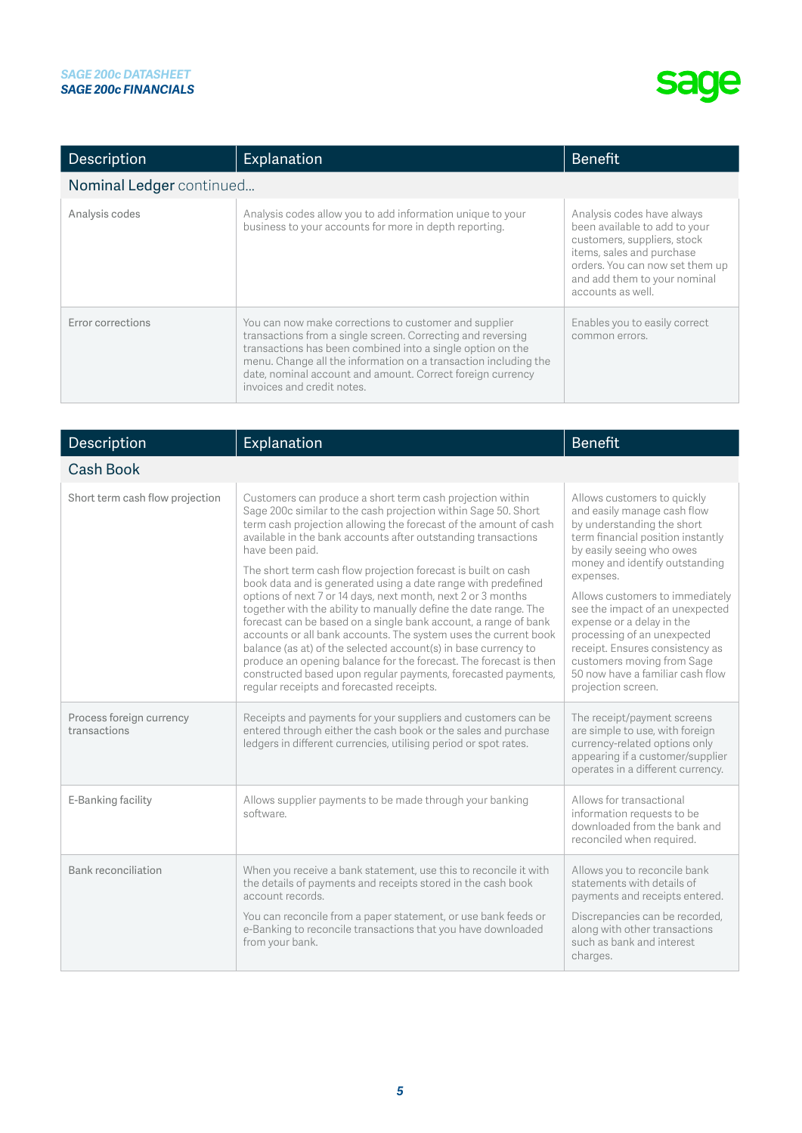| Description              | Explanation                                                                                                                                                                                                                                                                                                                                       | <b>Benefit</b>                                                                                                                                                                                                  |
|--------------------------|---------------------------------------------------------------------------------------------------------------------------------------------------------------------------------------------------------------------------------------------------------------------------------------------------------------------------------------------------|-----------------------------------------------------------------------------------------------------------------------------------------------------------------------------------------------------------------|
| Nominal Ledger continued |                                                                                                                                                                                                                                                                                                                                                   |                                                                                                                                                                                                                 |
| Analysis codes           | Analysis codes allow you to add information unique to your<br>business to your accounts for more in depth reporting.                                                                                                                                                                                                                              | Analysis codes have always<br>been available to add to your<br>customers, suppliers, stock<br>items, sales and purchase<br>orders. You can now set them up<br>and add them to your nominal<br>accounts as well. |
| Error corrections        | You can now make corrections to customer and supplier<br>transactions from a single screen. Correcting and reversing<br>transactions has been combined into a single option on the<br>menu. Change all the information on a transaction including the<br>date, nominal account and amount. Correct foreign currency<br>invoices and credit notes. | Enables you to easily correct<br>common errors.                                                                                                                                                                 |

| Description                              | Explanation                                                                                                                                                                                                                                                                                                                                                                                                                                                                                                                                                                                                                                                                                                                                                                                                                                                                                                                                          | <b>Benefit</b>                                                                                                                                                                                                                                                                                                                                                                                                                                                         |
|------------------------------------------|------------------------------------------------------------------------------------------------------------------------------------------------------------------------------------------------------------------------------------------------------------------------------------------------------------------------------------------------------------------------------------------------------------------------------------------------------------------------------------------------------------------------------------------------------------------------------------------------------------------------------------------------------------------------------------------------------------------------------------------------------------------------------------------------------------------------------------------------------------------------------------------------------------------------------------------------------|------------------------------------------------------------------------------------------------------------------------------------------------------------------------------------------------------------------------------------------------------------------------------------------------------------------------------------------------------------------------------------------------------------------------------------------------------------------------|
| <b>Cash Book</b>                         |                                                                                                                                                                                                                                                                                                                                                                                                                                                                                                                                                                                                                                                                                                                                                                                                                                                                                                                                                      |                                                                                                                                                                                                                                                                                                                                                                                                                                                                        |
| Short term cash flow projection          | Customers can produce a short term cash projection within<br>Sage 200c similar to the cash projection within Sage 50. Short<br>term cash projection allowing the forecast of the amount of cash<br>available in the bank accounts after outstanding transactions<br>have been paid.<br>The short term cash flow projection forecast is built on cash<br>book data and is generated using a date range with predefined<br>options of next 7 or 14 days, next month, next 2 or 3 months<br>together with the ability to manually define the date range. The<br>forecast can be based on a single bank account, a range of bank<br>accounts or all bank accounts. The system uses the current book<br>balance (as at) of the selected account(s) in base currency to<br>produce an opening balance for the forecast. The forecast is then<br>constructed based upon regular payments, forecasted payments,<br>regular receipts and forecasted receipts. | Allows customers to quickly<br>and easily manage cash flow<br>by understanding the short<br>term financial position instantly<br>by easily seeing who owes<br>money and identify outstanding<br>expenses.<br>Allows customers to immediately<br>see the impact of an unexpected<br>expense or a delay in the<br>processing of an unexpected<br>receipt. Ensures consistency as<br>customers moving from Sage<br>50 now have a familiar cash flow<br>projection screen. |
| Process foreign currency<br>transactions | Receipts and payments for your suppliers and customers can be<br>entered through either the cash book or the sales and purchase<br>ledgers in different currencies, utilising period or spot rates.                                                                                                                                                                                                                                                                                                                                                                                                                                                                                                                                                                                                                                                                                                                                                  | The receipt/payment screens<br>are simple to use, with foreign<br>currency-related options only<br>appearing if a customer/supplier<br>operates in a different currency.                                                                                                                                                                                                                                                                                               |
| E-Banking facility                       | Allows supplier payments to be made through your banking<br>software.                                                                                                                                                                                                                                                                                                                                                                                                                                                                                                                                                                                                                                                                                                                                                                                                                                                                                | Allows for transactional<br>information requests to be<br>downloaded from the bank and<br>reconciled when required.                                                                                                                                                                                                                                                                                                                                                    |
| Bank reconciliation                      | When you receive a bank statement, use this to reconcile it with<br>the details of payments and receipts stored in the cash book<br>account records.<br>You can reconcile from a paper statement, or use bank feeds or<br>e-Banking to reconcile transactions that you have downloaded<br>from your bank.                                                                                                                                                                                                                                                                                                                                                                                                                                                                                                                                                                                                                                            | Allows you to reconcile bank<br>statements with details of<br>payments and receipts entered.<br>Discrepancies can be recorded,<br>along with other transactions<br>such as bank and interest<br>charges.                                                                                                                                                                                                                                                               |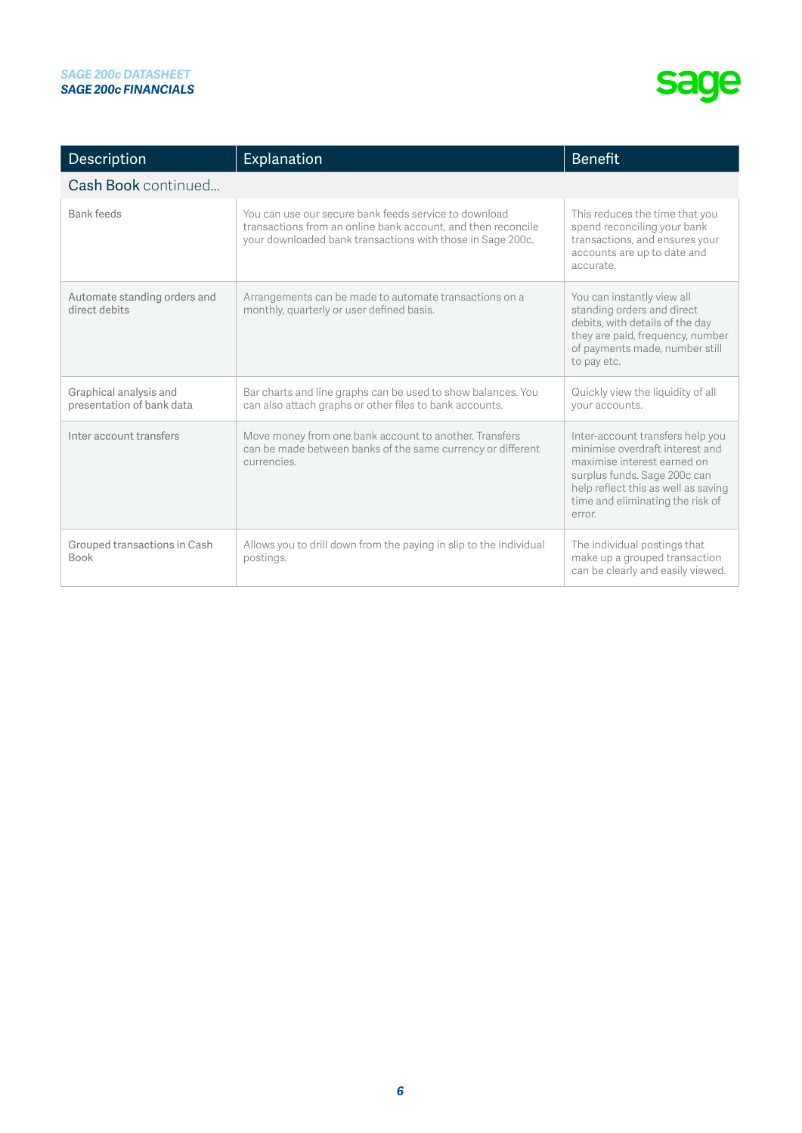| Description                                         | Explanation                                                                                                                                                                         | <b>Benefit</b>                                                                                                                                                                                                          |
|-----------------------------------------------------|-------------------------------------------------------------------------------------------------------------------------------------------------------------------------------------|-------------------------------------------------------------------------------------------------------------------------------------------------------------------------------------------------------------------------|
| Cash Book continued                                 |                                                                                                                                                                                     |                                                                                                                                                                                                                         |
| <b>Bank feeds</b>                                   | You can use our secure bank feeds service to download<br>transactions from an online bank account, and then reconcile<br>your downloaded bank transactions with those in Sage 200c. | This reduces the time that you<br>spend reconciling your bank<br>transactions, and ensures your<br>accounts are up to date and<br>accurate.                                                                             |
| Automate standing orders and<br>direct debits       | Arrangements can be made to automate transactions on a<br>monthly, quarterly or user defined basis.                                                                                 | You can instantly view all<br>standing orders and direct<br>debits, with details of the day<br>they are paid, frequency, number<br>of payments made, number still<br>to pay etc.                                        |
| Graphical analysis and<br>presentation of bank data | Bar charts and line graphs can be used to show balances. You<br>can also attach graphs or other files to bank accounts.                                                             | Quickly view the liquidity of all<br>your accounts.                                                                                                                                                                     |
| Inter account transfers                             | Move money from one bank account to another. Transfers<br>can be made between banks of the same currency or different<br>currencies.                                                | Inter-account transfers help you<br>minimise overdraft interest and<br>maximise interest earned on<br>surplus funds. Sage 200c can<br>help reflect this as well as saving<br>time and eliminating the risk of<br>error. |
| Grouped transactions in Cash<br><b>Book</b>         | Allows you to drill down from the paying in slip to the individual<br>postings.                                                                                                     | The individual postings that<br>make up a grouped transaction<br>can be clearly and easily viewed.                                                                                                                      |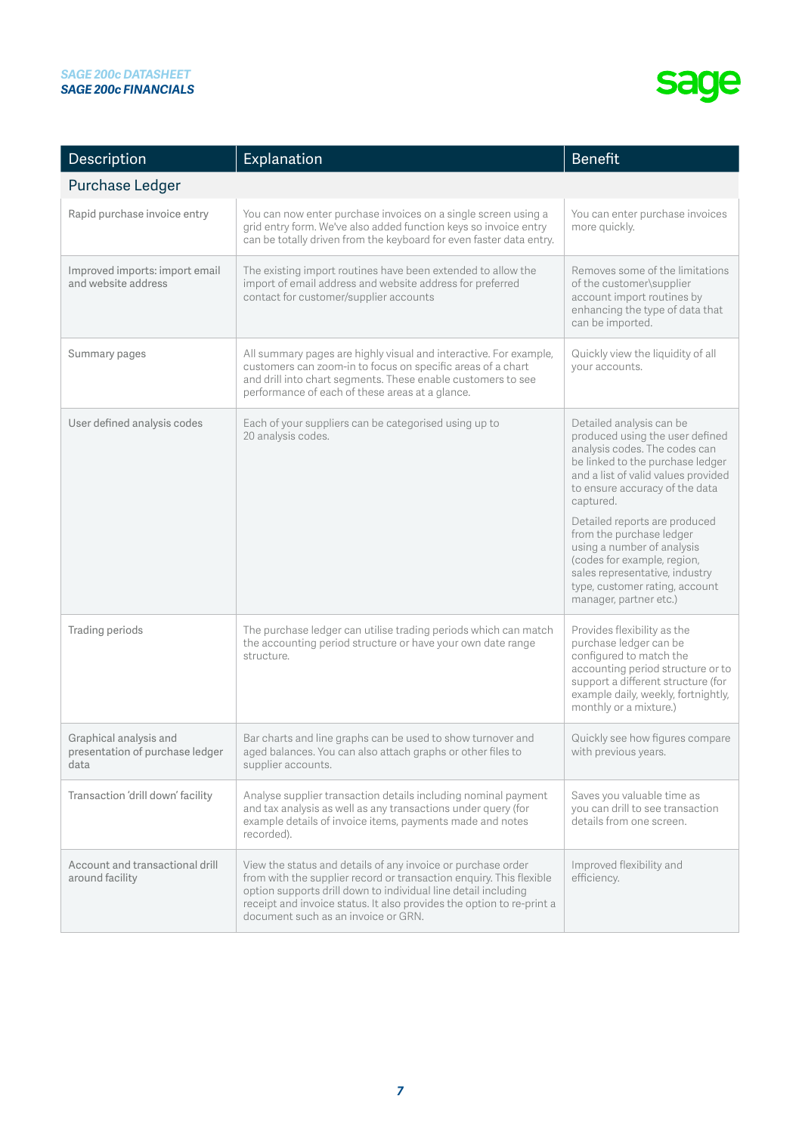| Description                                                       | Explanation                                                                                                                                                                                                                                                                                                           | <b>Benefit</b>                                                                                                                                                                                                               |
|-------------------------------------------------------------------|-----------------------------------------------------------------------------------------------------------------------------------------------------------------------------------------------------------------------------------------------------------------------------------------------------------------------|------------------------------------------------------------------------------------------------------------------------------------------------------------------------------------------------------------------------------|
| Purchase Ledger                                                   |                                                                                                                                                                                                                                                                                                                       |                                                                                                                                                                                                                              |
| Rapid purchase invoice entry                                      | You can now enter purchase invoices on a single screen using a<br>grid entry form. We've also added function keys so invoice entry<br>can be totally driven from the keyboard for even faster data entry.                                                                                                             | You can enter purchase invoices<br>more quickly.                                                                                                                                                                             |
| Improved imports: import email<br>and website address             | The existing import routines have been extended to allow the<br>import of email address and website address for preferred<br>contact for customer/supplier accounts                                                                                                                                                   | Removes some of the limitations<br>of the customer\supplier<br>account import routines by<br>enhancing the type of data that<br>can be imported.                                                                             |
| Summary pages                                                     | All summary pages are highly visual and interactive. For example,<br>customers can zoom-in to focus on specific areas of a chart<br>and drill into chart segments. These enable customers to see<br>performance of each of these areas at a glance.                                                                   | Quickly view the liquidity of all<br>your accounts.                                                                                                                                                                          |
| User defined analysis codes                                       | Each of your suppliers can be categorised using up to<br>20 analysis codes.                                                                                                                                                                                                                                           | Detailed analysis can be<br>produced using the user defined<br>analysis codes. The codes can<br>be linked to the purchase ledger<br>and a list of valid values provided<br>to ensure accuracy of the data<br>captured.       |
|                                                                   |                                                                                                                                                                                                                                                                                                                       | Detailed reports are produced<br>from the purchase ledger<br>using a number of analysis<br>(codes for example, region,<br>sales representative, industry<br>type, customer rating, account<br>manager, partner etc.)         |
| Trading periods                                                   | The purchase ledger can utilise trading periods which can match<br>the accounting period structure or have your own date range<br>structure.                                                                                                                                                                          | Provides flexibility as the<br>purchase ledger can be<br>configured to match the<br>accounting period structure or to<br>support a different structure (for<br>example daily, weekly, fortnightly,<br>monthly or a mixture.) |
| Graphical analysis and<br>presentation of purchase ledger<br>data | Bar charts and line graphs can be used to show turnover and<br>aged balances. You can also attach graphs or other files to<br>supplier accounts.                                                                                                                                                                      | Quickly see how figures compare<br>with previous years.                                                                                                                                                                      |
| Transaction 'drill down' facility                                 | Analyse supplier transaction details including nominal payment<br>and tax analysis as well as any transactions under query (for<br>example details of invoice items, payments made and notes<br>recorded).                                                                                                            | Saves you valuable time as<br>you can drill to see transaction<br>details from one screen.                                                                                                                                   |
| Account and transactional drill<br>around facility                | View the status and details of any invoice or purchase order<br>from with the supplier record or transaction enquiry. This flexible<br>option supports drill down to individual line detail including<br>receipt and invoice status. It also provides the option to re-print a<br>document such as an invoice or GRN. | Improved flexibility and<br>efficiency.                                                                                                                                                                                      |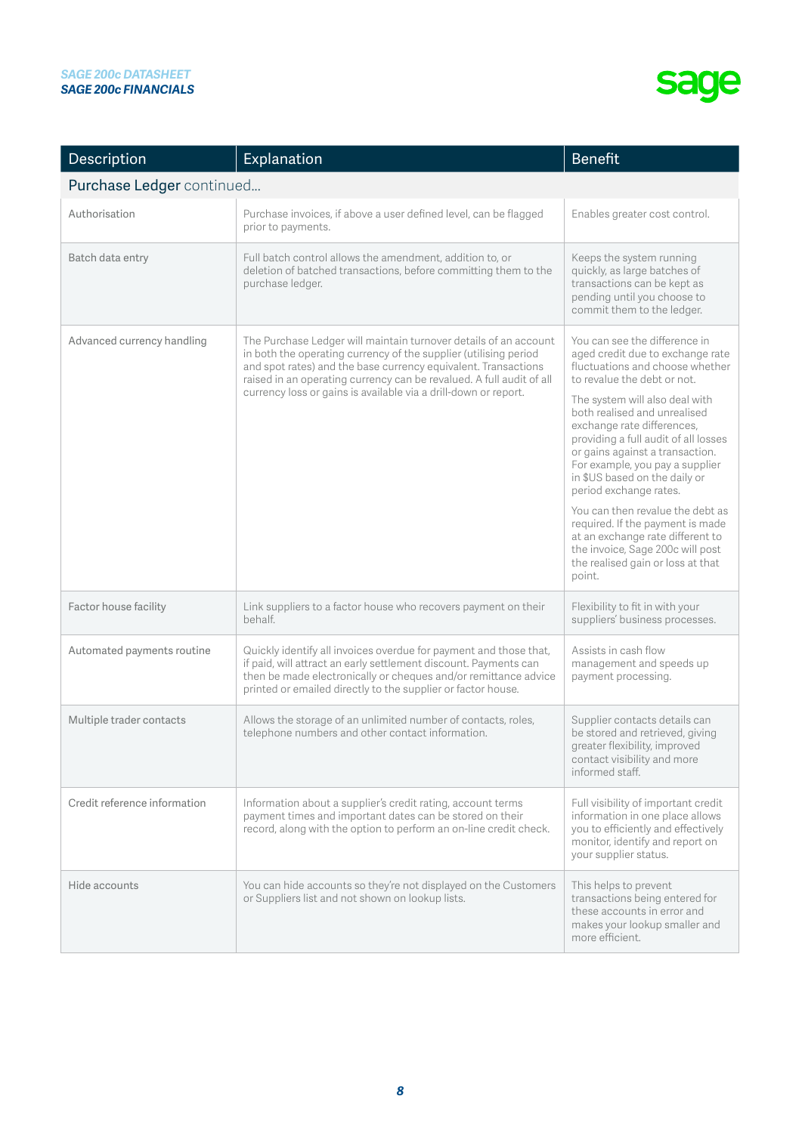| Description                  | Explanation                                                                                                                                                                                                                                                                                                                                       | <b>Benefit</b>                                                                                                                                                                                                                                                                                                                                                                                                                                                                                                                                                                                              |
|------------------------------|---------------------------------------------------------------------------------------------------------------------------------------------------------------------------------------------------------------------------------------------------------------------------------------------------------------------------------------------------|-------------------------------------------------------------------------------------------------------------------------------------------------------------------------------------------------------------------------------------------------------------------------------------------------------------------------------------------------------------------------------------------------------------------------------------------------------------------------------------------------------------------------------------------------------------------------------------------------------------|
| Purchase Ledger continued    |                                                                                                                                                                                                                                                                                                                                                   |                                                                                                                                                                                                                                                                                                                                                                                                                                                                                                                                                                                                             |
| Authorisation                | Purchase invoices, if above a user defined level, can be flagged<br>prior to payments.                                                                                                                                                                                                                                                            | Enables greater cost control.                                                                                                                                                                                                                                                                                                                                                                                                                                                                                                                                                                               |
| Batch data entry             | Full batch control allows the amendment, addition to, or<br>deletion of batched transactions, before committing them to the<br>purchase ledger.                                                                                                                                                                                                   | Keeps the system running<br>quickly, as large batches of<br>transactions can be kept as<br>pending until you choose to<br>commit them to the ledger.                                                                                                                                                                                                                                                                                                                                                                                                                                                        |
| Advanced currency handling   | The Purchase Ledger will maintain turnover details of an account<br>in both the operating currency of the supplier (utilising period<br>and spot rates) and the base currency equivalent. Transactions<br>raised in an operating currency can be revalued. A full audit of all<br>currency loss or gains is available via a drill-down or report. | You can see the difference in<br>aged credit due to exchange rate<br>fluctuations and choose whether<br>to revalue the debt or not.<br>The system will also deal with<br>both realised and unrealised<br>exchange rate differences,<br>providing a full audit of all losses<br>or gains against a transaction.<br>For example, you pay a supplier<br>in \$US based on the daily or<br>period exchange rates.<br>You can then revalue the debt as<br>required. If the payment is made<br>at an exchange rate different to<br>the invoice, Sage 200c will post<br>the realised gain or loss at that<br>point. |
| Factor house facility        | Link suppliers to a factor house who recovers payment on their<br>behalf.                                                                                                                                                                                                                                                                         | Flexibility to fit in with your<br>suppliers' business processes.                                                                                                                                                                                                                                                                                                                                                                                                                                                                                                                                           |
| Automated payments routine   | Quickly identify all invoices overdue for payment and those that,<br>if paid, will attract an early settlement discount. Payments can<br>then be made electronically or cheques and/or remittance advice<br>printed or emailed directly to the supplier or factor house.                                                                          | Assists in cash flow<br>management and speeds up<br>payment processing.                                                                                                                                                                                                                                                                                                                                                                                                                                                                                                                                     |
| Multiple trader contacts     | Allows the storage of an unlimited number of contacts, roles,<br>telephone numbers and other contact information.                                                                                                                                                                                                                                 | Supplier contacts details can<br>be stored and retrieved, giving<br>greater flexibility, improved<br>contact visibility and more<br>informed staff.                                                                                                                                                                                                                                                                                                                                                                                                                                                         |
| Credit reference information | Information about a supplier's credit rating, account terms<br>payment times and important dates can be stored on their<br>record, along with the option to perform an on-line credit check.                                                                                                                                                      | Full visibility of important credit<br>information in one place allows<br>you to efficiently and effectively<br>monitor, identify and report on<br>your supplier status.                                                                                                                                                                                                                                                                                                                                                                                                                                    |
| Hide accounts                | You can hide accounts so they're not displayed on the Customers<br>or Suppliers list and not shown on lookup lists.                                                                                                                                                                                                                               | This helps to prevent<br>transactions being entered for<br>these accounts in error and<br>makes your lookup smaller and<br>more efficient.                                                                                                                                                                                                                                                                                                                                                                                                                                                                  |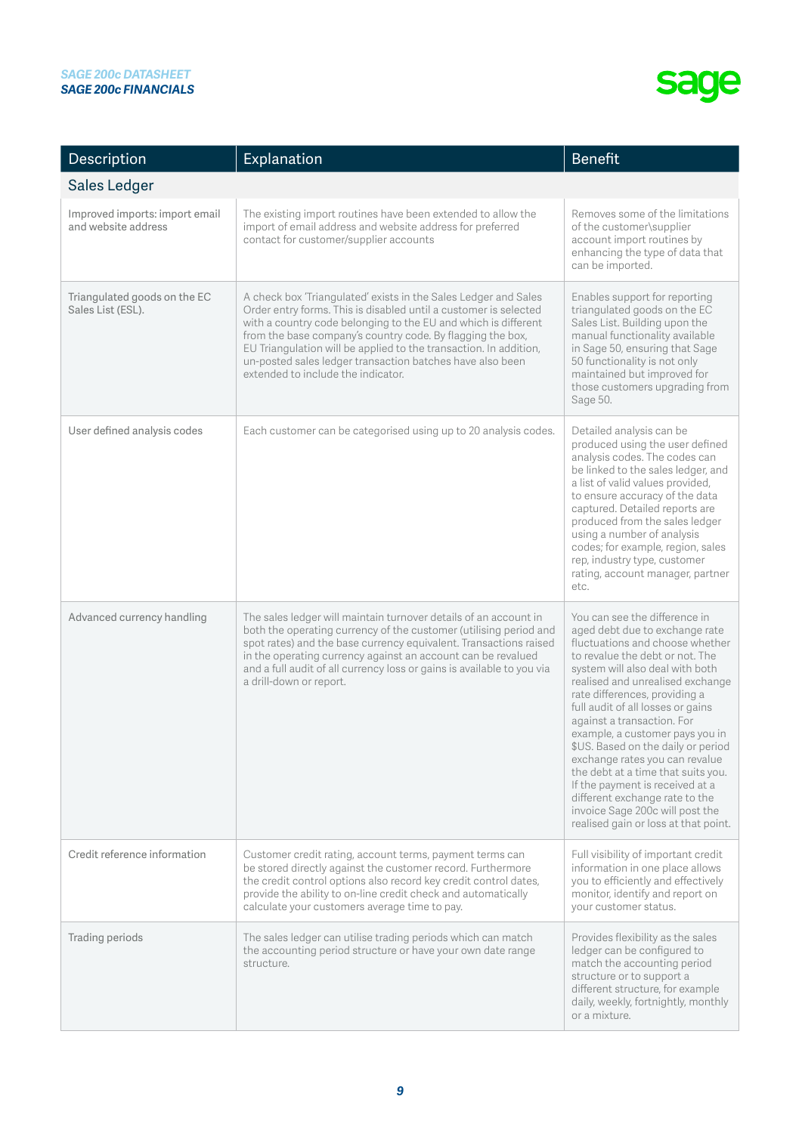| Description                                           | Explanation                                                                                                                                                                                                                                                                                                                                                                                                                                 | <b>Benefit</b>                                                                                                                                                                                                                                                                                                                                                                                                                                                                                                                                                                                                    |
|-------------------------------------------------------|---------------------------------------------------------------------------------------------------------------------------------------------------------------------------------------------------------------------------------------------------------------------------------------------------------------------------------------------------------------------------------------------------------------------------------------------|-------------------------------------------------------------------------------------------------------------------------------------------------------------------------------------------------------------------------------------------------------------------------------------------------------------------------------------------------------------------------------------------------------------------------------------------------------------------------------------------------------------------------------------------------------------------------------------------------------------------|
| <b>Sales Ledger</b>                                   |                                                                                                                                                                                                                                                                                                                                                                                                                                             |                                                                                                                                                                                                                                                                                                                                                                                                                                                                                                                                                                                                                   |
| Improved imports: import email<br>and website address | The existing import routines have been extended to allow the<br>import of email address and website address for preferred<br>contact for customer/supplier accounts                                                                                                                                                                                                                                                                         | Removes some of the limitations<br>of the customer\supplier<br>account import routines by<br>enhancing the type of data that<br>can be imported.                                                                                                                                                                                                                                                                                                                                                                                                                                                                  |
| Triangulated goods on the EC<br>Sales List (ESL).     | A check box 'Triangulated' exists in the Sales Ledger and Sales<br>Order entry forms. This is disabled until a customer is selected<br>with a country code belonging to the EU and which is different<br>from the base company's country code. By flagging the box,<br>EU Triangulation will be applied to the transaction. In addition,<br>un-posted sales ledger transaction batches have also been<br>extended to include the indicator. | Enables support for reporting<br>triangulated goods on the EC<br>Sales List. Building upon the<br>manual functionality available<br>in Sage 50, ensuring that Sage<br>50 functionality is not only<br>maintained but improved for<br>those customers upgrading from<br>Sage 50.                                                                                                                                                                                                                                                                                                                                   |
| User defined analysis codes                           | Each customer can be categorised using up to 20 analysis codes.                                                                                                                                                                                                                                                                                                                                                                             | Detailed analysis can be<br>produced using the user defined<br>analysis codes. The codes can<br>be linked to the sales ledger, and<br>a list of valid values provided,<br>to ensure accuracy of the data<br>captured. Detailed reports are<br>produced from the sales ledger<br>using a number of analysis<br>codes; for example, region, sales<br>rep, industry type, customer<br>rating, account manager, partner<br>etc.                                                                                                                                                                                       |
| Advanced currency handling                            | The sales ledger will maintain turnover details of an account in<br>both the operating currency of the customer (utilising period and<br>spot rates) and the base currency equivalent. Transactions raised<br>in the operating currency against an account can be revalued<br>and a full audit of all currency loss or gains is available to you via<br>a drill-down or report.                                                             | You can see the difference in<br>aged debt due to exchange rate<br>fluctuations and choose whether<br>to revalue the debt or not. The<br>system will also deal with both<br>realised and unrealised exchange<br>rate differences, providing a<br>full audit of all losses or gains<br>against a transaction. For<br>example, a customer pays you in<br>\$US. Based on the daily or period<br>exchange rates you can revalue<br>the debt at a time that suits you.<br>If the payment is received at a<br>different exchange rate to the<br>invoice Sage 200c will post the<br>realised gain or loss at that point. |
| Credit reference information                          | Customer credit rating, account terms, payment terms can<br>be stored directly against the customer record. Furthermore<br>the credit control options also record key credit control dates,<br>provide the ability to on-line credit check and automatically<br>calculate your customers average time to pay.                                                                                                                               | Full visibility of important credit<br>information in one place allows<br>you to efficiently and effectively<br>monitor, identify and report on<br>your customer status.                                                                                                                                                                                                                                                                                                                                                                                                                                          |
| Trading periods                                       | The sales ledger can utilise trading periods which can match<br>the accounting period structure or have your own date range<br>structure.                                                                                                                                                                                                                                                                                                   | Provides flexibility as the sales<br>ledger can be configured to<br>match the accounting period<br>structure or to support a<br>different structure, for example<br>daily, weekly, fortnightly, monthly<br>or a mixture.                                                                                                                                                                                                                                                                                                                                                                                          |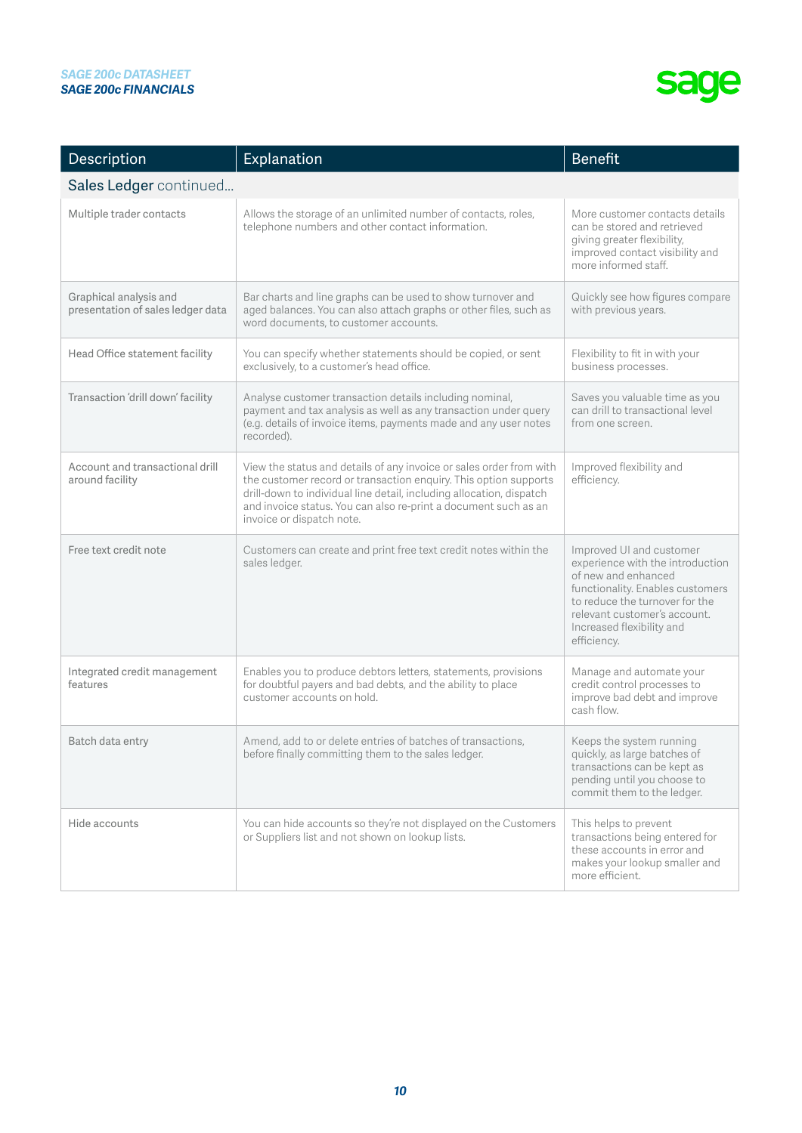| Description                                                 | Explanation                                                                                                                                                                                                                                                                                                     | <b>Benefit</b>                                                                                                                                                                                                                        |
|-------------------------------------------------------------|-----------------------------------------------------------------------------------------------------------------------------------------------------------------------------------------------------------------------------------------------------------------------------------------------------------------|---------------------------------------------------------------------------------------------------------------------------------------------------------------------------------------------------------------------------------------|
| Sales Ledger continued                                      |                                                                                                                                                                                                                                                                                                                 |                                                                                                                                                                                                                                       |
| Multiple trader contacts                                    | Allows the storage of an unlimited number of contacts, roles,<br>telephone numbers and other contact information.                                                                                                                                                                                               | More customer contacts details<br>can be stored and retrieved<br>giving greater flexibility,<br>improved contact visibility and<br>more informed staff.                                                                               |
| Graphical analysis and<br>presentation of sales ledger data | Bar charts and line graphs can be used to show turnover and<br>aged balances. You can also attach graphs or other files, such as<br>word documents, to customer accounts.                                                                                                                                       | Quickly see how figures compare<br>with previous years.                                                                                                                                                                               |
| Head Office statement facility                              | You can specify whether statements should be copied, or sent<br>exclusively, to a customer's head office.                                                                                                                                                                                                       | Flexibility to fit in with your<br>business processes.                                                                                                                                                                                |
| Transaction 'drill down' facility                           | Analyse customer transaction details including nominal,<br>payment and tax analysis as well as any transaction under query<br>(e.g. details of invoice items, payments made and any user notes<br>recorded).                                                                                                    | Saves you valuable time as you<br>can drill to transactional level<br>from one screen.                                                                                                                                                |
| Account and transactional drill<br>around facility          | View the status and details of any invoice or sales order from with<br>the customer record or transaction enquiry. This option supports<br>drill-down to individual line detail, including allocation, dispatch<br>and invoice status. You can also re-print a document such as an<br>invoice or dispatch note. | Improved flexibility and<br>efficiency.                                                                                                                                                                                               |
| Free text credit note                                       | Customers can create and print free text credit notes within the<br>sales ledger.                                                                                                                                                                                                                               | Improved UI and customer<br>experience with the introduction<br>of new and enhanced<br>functionality. Enables customers<br>to reduce the turnover for the<br>relevant customer's account.<br>Increased flexibility and<br>efficiency. |
| Integrated credit management<br>features                    | Enables you to produce debtors letters, statements, provisions<br>for doubtful payers and bad debts, and the ability to place<br>customer accounts on hold.                                                                                                                                                     | Manage and automate your<br>credit control processes to<br>improve bad debt and improve<br>cash flow.                                                                                                                                 |
| Batch data entry                                            | Amend, add to or delete entries of batches of transactions.<br>before finally committing them to the sales ledger.                                                                                                                                                                                              | Keeps the system running<br>quickly, as large batches of<br>transactions can be kept as<br>pending until you choose to<br>commit them to the ledger.                                                                                  |
| Hide accounts                                               | You can hide accounts so they're not displayed on the Customers<br>or Suppliers list and not shown on lookup lists.                                                                                                                                                                                             | This helps to prevent<br>transactions being entered for<br>these accounts in error and<br>makes your lookup smaller and<br>more efficient.                                                                                            |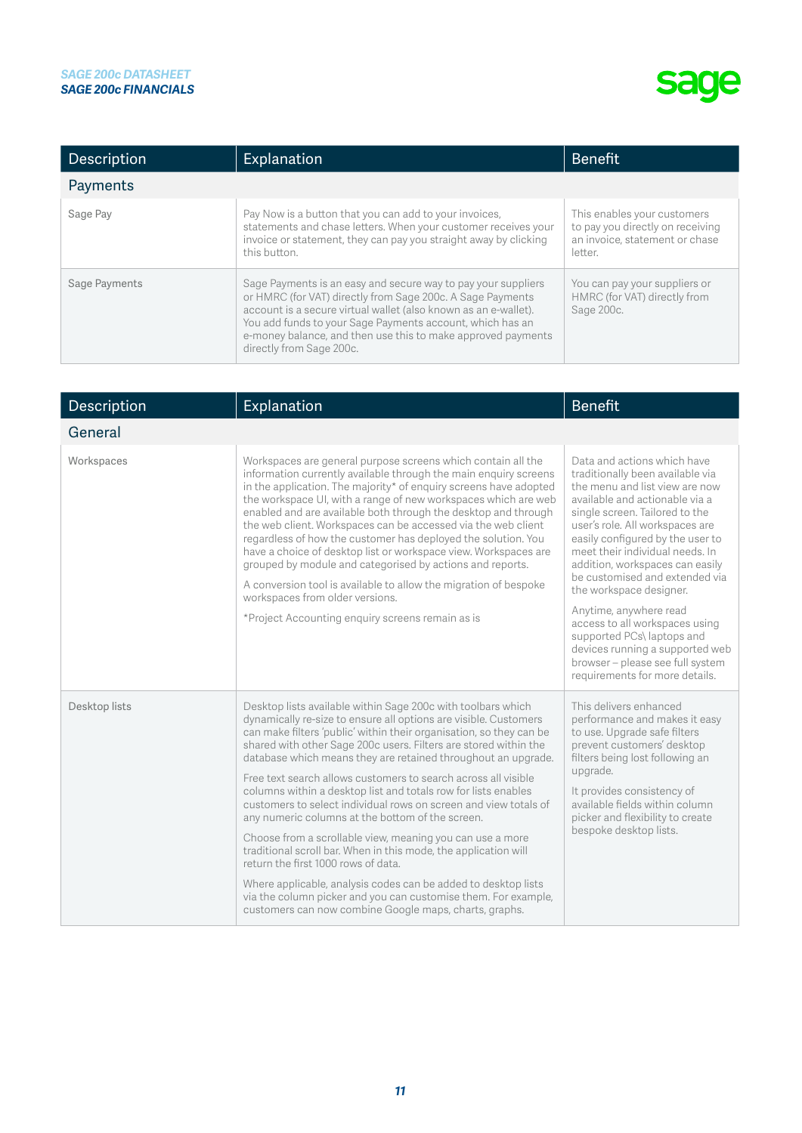| Description   | Explanation                                                                                                                                                                                                                                                                                                                                             | <b>Benefit</b>                                                                                               |
|---------------|---------------------------------------------------------------------------------------------------------------------------------------------------------------------------------------------------------------------------------------------------------------------------------------------------------------------------------------------------------|--------------------------------------------------------------------------------------------------------------|
| Payments      |                                                                                                                                                                                                                                                                                                                                                         |                                                                                                              |
| Sage Pay      | Pay Now is a button that you can add to your invoices,<br>statements and chase letters. When your customer receives your<br>invoice or statement, they can pay you straight away by clicking<br>this button.                                                                                                                                            | This enables your customers<br>to pay you directly on receiving<br>an invoice, statement or chase<br>letter. |
| Sage Payments | Sage Payments is an easy and secure way to pay your suppliers<br>or HMRC (for VAT) directly from Sage 200c. A Sage Payments<br>account is a secure virtual wallet (also known as an e-wallet).<br>You add funds to your Sage Payments account, which has an<br>e-money balance, and then use this to make approved payments<br>directly from Sage 200c. | You can pay your suppliers or<br>HMRC (for VAT) directly from<br>Sage 200c.                                  |

| Description   | Explanation                                                                                                                                                                                                                                                                                                                                                                                                                                                                                                                                                                                                                                                                                                                                                                                                                                                                                                                                                                   | <b>Benefit</b>                                                                                                                                                                                                                                                                                                                                                                                                                                                                                                                                                                     |
|---------------|-------------------------------------------------------------------------------------------------------------------------------------------------------------------------------------------------------------------------------------------------------------------------------------------------------------------------------------------------------------------------------------------------------------------------------------------------------------------------------------------------------------------------------------------------------------------------------------------------------------------------------------------------------------------------------------------------------------------------------------------------------------------------------------------------------------------------------------------------------------------------------------------------------------------------------------------------------------------------------|------------------------------------------------------------------------------------------------------------------------------------------------------------------------------------------------------------------------------------------------------------------------------------------------------------------------------------------------------------------------------------------------------------------------------------------------------------------------------------------------------------------------------------------------------------------------------------|
| General       |                                                                                                                                                                                                                                                                                                                                                                                                                                                                                                                                                                                                                                                                                                                                                                                                                                                                                                                                                                               |                                                                                                                                                                                                                                                                                                                                                                                                                                                                                                                                                                                    |
| Workspaces    | Workspaces are general purpose screens which contain all the<br>information currently available through the main enquiry screens<br>in the application. The majority* of enguiry screens have adopted<br>the workspace UI, with a range of new workspaces which are web<br>enabled and are available both through the desktop and through<br>the web client. Workspaces can be accessed via the web client<br>regardless of how the customer has deployed the solution. You<br>have a choice of desktop list or workspace view. Workspaces are<br>grouped by module and categorised by actions and reports.<br>A conversion tool is available to allow the migration of bespoke<br>workspaces from older versions.<br>*Project Accounting enquiry screens remain as is                                                                                                                                                                                                        | Data and actions which have<br>traditionally been available via<br>the menu and list view are now<br>available and actionable via a<br>single screen. Tailored to the<br>user's role. All workspaces are<br>easily configured by the user to<br>meet their individual needs. In<br>addition, workspaces can easily<br>be customised and extended via<br>the workspace designer.<br>Anytime, anywhere read<br>access to all workspaces using<br>supported PCs\ laptops and<br>devices running a supported web<br>browser - please see full system<br>requirements for more details. |
| Desktop lists | Desktop lists available within Sage 200c with toolbars which<br>dynamically re-size to ensure all options are visible. Customers<br>can make filters 'public' within their organisation, so they can be<br>shared with other Sage 200c users. Filters are stored within the<br>database which means they are retained throughout an upgrade.<br>Free text search allows customers to search across all visible<br>columns within a desktop list and totals row for lists enables<br>customers to select individual rows on screen and view totals of<br>any numeric columns at the bottom of the screen.<br>Choose from a scrollable view, meaning you can use a more<br>traditional scroll bar. When in this mode, the application will<br>return the first 1000 rows of data.<br>Where applicable, analysis codes can be added to desktop lists<br>via the column picker and you can customise them. For example,<br>customers can now combine Google maps, charts, graphs. | This delivers enhanced<br>performance and makes it easy<br>to use. Upgrade safe filters<br>prevent customers' desktop<br>filters being lost following an<br>upgrade.<br>It provides consistency of<br>available fields within column<br>picker and flexibility to create<br>bespoke desktop lists.                                                                                                                                                                                                                                                                                 |